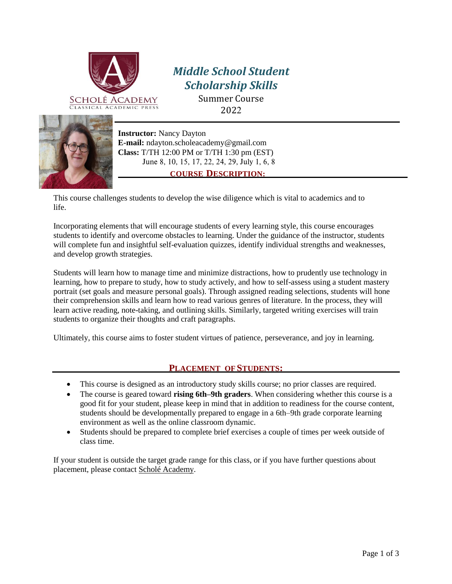

# *Middle School Student Scholarship Skills*

Summer Course 2022

**Instructor:** Nancy Dayton **[E-mail:](mailto:ndayton.scholeacademy@gmail.com)** [ndayton.scholeacademy@g](mailto:.scholeacademy@gmail.com)mail.com **Class LPHV: 0**/TH 12: PM or pm (EST)  $\bullet$  MWH Vune 6, 7, 9, 1, 14, 16, 20, 21, 2, 27

# **COURSE DESCRIPTION:**

This course challenges students to develop the wise diligence which is vital to academics and to life.

Incorporating elements that will encourage students of every learning style, this course encourages students to identify and overcome obstacles to learning. Under the guidance of the instructor, students will complete fun and insightful self-evaluation quizzes, identify individual strengths and weaknesses, and develop growth strategies.

Students will learn how to manage time and minimize distractions, how to prudently use technology in learning, how to prepare to study, how to study actively, and how to self-assess using a student mastery portrait (set goals and measure personal goals). Through assigned reading selections, students will hone their comprehension skills and learn how to read various genres of literature. In the process, they will learn active reading, note-taking, and outlining skills. Similarly, targeted writing exercises will train students to organize their thoughts and craft paragraphs.

Ultimately, this course aims to foster student virtues of patience, perseverance, and joy in learning.

# **PLACEMENT OF STUDENTS:**

- This course is designed as an introductory study skills course; no prior classes are required.
- The course is geared toward **rising 6th–9th graders**. When considering whether this course is a good fit for your student, please keep in mind that in addition to readiness for the course content, students should be developmentally prepared to engage in a 6th–9th grade corporate learning environment as well as the online classroom dynamic.
- Students should be prepared to complete brief exercises a couple of times per week outside of class time.

If your student is outside the target grade range for this class, or if you have further questions about placement, please contact Scholé Academy.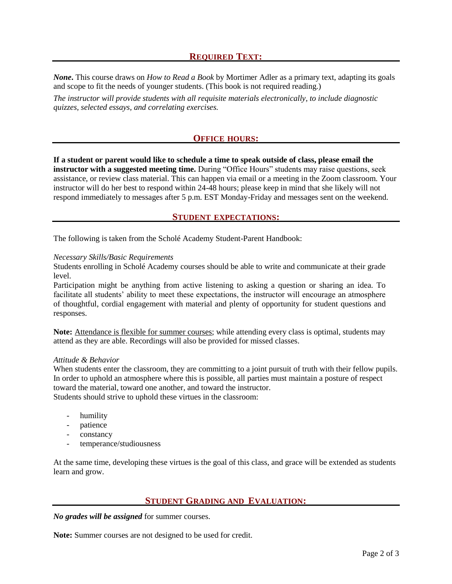## **REQUIRED TEXT:**

*None***.** This course draws on *How to Read a Book* by Mortimer Adler as a primary text, adapting its goals and scope to fit the needs of younger students. (This book is not required reading.)

*The instructor will provide students with all requisite materials electronically, to include diagnostic quizzes, selected essays, and correlating exercises.*

### **OFFICE HOURS:**

**If a student or parent would like to schedule a time to speak outside of class, please email the instructor with a suggested meeting time.** During "Office Hours" students may raise questions, seek assistance, or review class material. This can happen via email or a meeting in the Zoom classroom. Your instructor will do her best to respond within 24-48 hours; please keep in mind that she likely will not respond immediately to messages after 5 p.m. EST Monday-Friday and messages sent on the weekend.

#### **STUDENT EXPECTATIONS:**

The following is taken from the Scholé Academy Student-Parent Handbook:

#### *Necessary Skills/Basic Requirements*

Students enrolling in Scholé Academy courses should be able to write and communicate at their grade level.

Participation might be anything from active listening to asking a question or sharing an idea. To facilitate all students' ability to meet these expectations, the instructor will encourage an atmosphere of thoughtful, cordial engagement with material and plenty of opportunity for student questions and responses.

Note: Attendance is flexible for summer courses; while attending every class is optimal, students may attend as they are able. Recordings will also be provided for missed classes.

#### *Attitude & Behavior*

When students enter the classroom, they are committing to a joint pursuit of truth with their fellow pupils. In order to uphold an atmosphere where this is possible, all parties must maintain a posture of respect toward the material, toward one another, and toward the instructor. Students should strive to uphold these virtues in the classroom:

- humility
- patience
- constancy
- temperance/studiousness

At the same time, developing these virtues is the goal of this class, and grace will be extended as students learn and grow.

### **STUDENT GRADING AND EVALUATION:**

*No grades will be assigned* for summer courses.

**Note:** Summer courses are not designed to be used for credit.